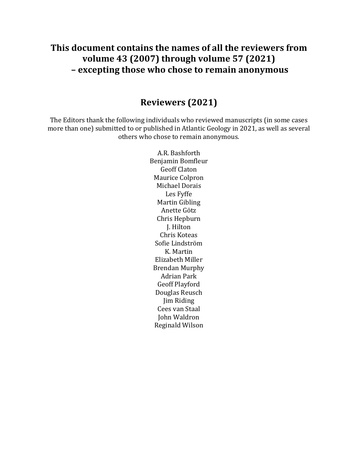# **This document contains the names of all the reviewers from volume 43 (2007) through volume 57 (2021) – excepting those who chose to remain anonymous**

#### **Reviewers (2021)**

The Editors thank the following individuals who reviewed manuscripts (in some cases more than one) submitted to or published in Atlantic Geology in 2021, as well as several others who chose to remain anonymous.

> A.R. Bashforth Benjamin Bomfleur Geoff Claton Maurice Colpron Michael Dorais Les Fyffe Martin Gibling Anette Götz Chris Hepburn J. Hilton Chris Koteas Sofie Lindström K. Martin Elizabeth Miller Brendan Murphy Adrian Park Geoff Playford Douglas Reusch Jim Riding Cees van Staal John Waldron Reginald Wilson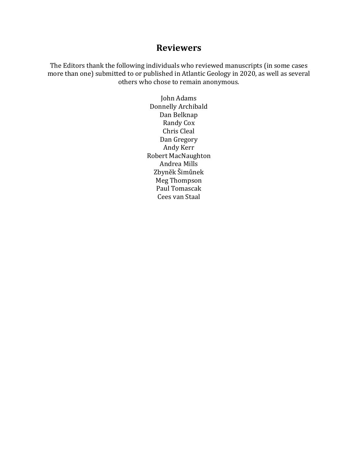The Editors thank the following individuals who reviewed manuscripts (in some cases more than one) submitted to or published in Atlantic Geology in 2020, as well as several others who chose to remain anonymous.

> John Adams Donnelly Archibald Dan Belknap Randy Cox Chris Cleal Dan Gregory Andy Kerr Robert MacNaughton Andrea Mills Zbyněk Šimůnek Meg Thompson Paul Tomascak Cees van Staal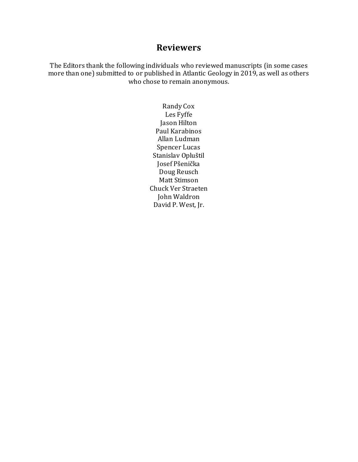The Editors thank the following individuals who reviewed manuscripts (in some cases more than one) submitted to or published in Atlantic Geology in 2019, as well as others who chose to remain anonymous.

> Randy Cox Les Fyffe Jason Hilton Paul Karabinos Allan Ludman Spencer Lucas Stanislav Opluštil Josef Pšenička Doug Reusch Matt Stimson Chuck Ver Straeten John Waldron David P. West, Jr.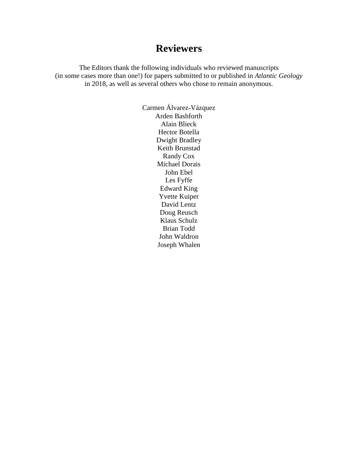The Editors thank the following individuals who reviewed manuscripts (in some cases more than one!) for papers submitted to or published in *Atlantic Geology* in 2018, as well as several others who chose to remain anonymous.

> Carmen Álvarez-Vázquez Arden Bashforth Alain Blieck Hector Botella Dwight Bradley Keith Brunstad Randy Cox Michael Dorais John Ebel Les Fyffe Edward King Yvette Kuiper David Lentz Doug Reusch Klaus Schulz Brian Todd John Waldron Joseph Whalen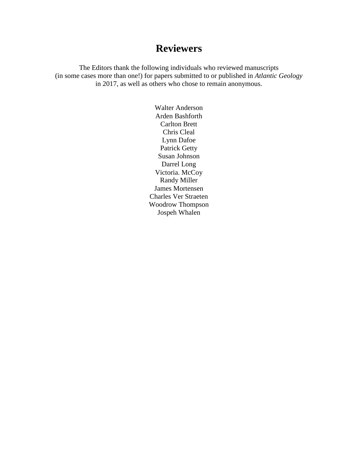The Editors thank the following individuals who reviewed manuscripts (in some cases more than one!) for papers submitted to or published in *Atlantic Geology* in 2017, as well as others who chose to remain anonymous.

> Walter Anderson Arden Bashforth Carlton Brett Chris Cleal Lynn Dafoe Patrick Getty Susan Johnson Darrel Long Victoria. McCoy Randy Miller James Mortensen Charles Ver Straeten Woodrow Thompson Jospeh Whalen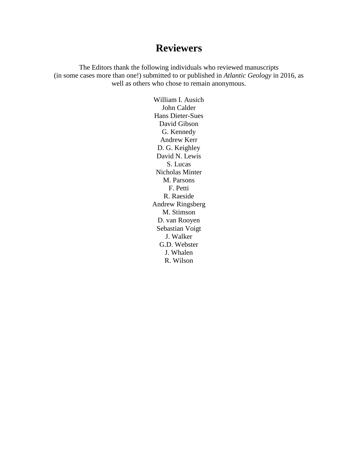The Editors thank the following individuals who reviewed manuscripts (in some cases more than one!) submitted to or published in *Atlantic Geology* in 2016, as well as others who chose to remain anonymous.

> William I. Ausich John Calder Hans Dieter-Sues David Gibson G. Kennedy Andrew Kerr D. G. Keighley David N. Lewis S. Lucas Nicholas Minter M. Parsons F. Petti R. Raeside Andrew Ringsberg M. Stimson D. van Rooyen Sebastian Voigt J. Walker G.D. Webster J. Whalen R. Wilson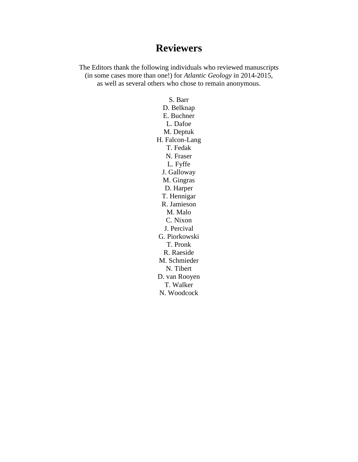The Editors thank the following individuals who reviewed manuscripts (in some cases more than one!) for *Atlantic Geology* in 2014-2015, as well as several others who chose to remain anonymous.

> S. Barr D. Belknap E. Buchner L. Dafoe M. Deptuk H. Falcon-Lang T. Fedak N. Fraser L. Fyffe J. Galloway M. Gingras D. Harper T. Hennigar R. Jamieson M. Malo C. Nixon J. Percival G. Piorkowski T. Pronk R. Raeside M. Schmieder N. Tibert D. van Rooyen T. Walker N. Woodcock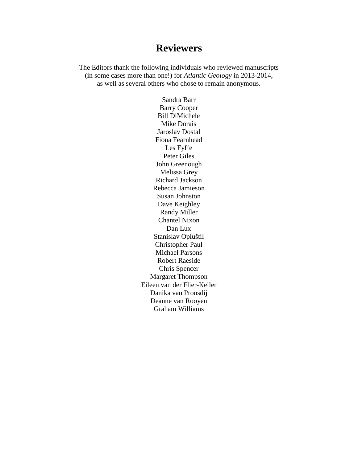The Editors thank the following individuals who reviewed manuscripts (in some cases more than one!) for *Atlantic Geology* in 2013-2014, as well as several others who chose to remain anonymous.

> Sandra Barr Barry Cooper Bill DiMichele Mike Dorais Jaroslav Dostal Fiona Fearnhead Les Fyffe Peter Giles John Greenough Melissa Grey Richard Jackson Rebecca Jamieson Susan Johnston Dave Keighley Randy Miller Chantel Nixon Dan Lux Stanislav Opluštil Christopher Paul Michael Parsons Robert Raeside Chris Spencer Margaret Thompson Eileen van der Flier-Keller Danika van Proosdij Deanne van Rooyen Graham Williams